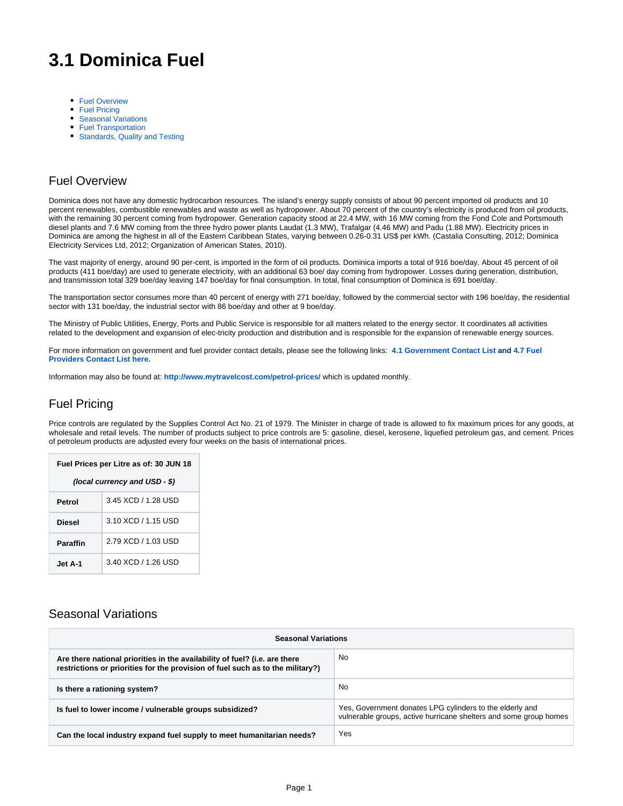# **3.1 Dominica Fuel**

- **[Fuel Overview](#page-0-0)**
- [Fuel Pricing](#page-0-1)
- [Seasonal Variations](#page-0-2)
- [Fuel Transportation](#page-1-0)
- [Standards, Quality and Testing](#page-1-1)

### <span id="page-0-0"></span>Fuel Overview

Dominica does not have any domestic hydrocarbon resources. The island's energy supply consists of about 90 percent imported oil products and 10 percent renewables, combustible renewables and waste as well as hydropower. About 70 percent of the country's electricity is produced from oil products, with the remaining 30 percent coming from hydropower. Generation capacity stood at 22.4 MW, with 16 MW coming from the Fond Cole and Portsmouth diesel plants and 7.6 MW coming from the three hydro power plants Laudat (1.3 MW), Trafalgar (4.46 MW) and Padu (1.88 MW). Electricity prices in Dominica are among the highest in all of the Eastern Caribbean States, varying between 0.26-0.31 US\$ per kWh. (Castalia Consulting, 2012; Dominica Electricity Services Ltd, 2012; Organization of American States, 2010).

The vast majority of energy, around 90 per-cent, is imported in the form of oil products. Dominica imports a total of 916 boe/day. About 45 percent of oil products (411 boe/day) are used to generate electricity, with an additional 63 boe/ day coming from hydropower. Losses during generation, distribution, and transmission total 329 boe/day leaving 147 boe/day for final consumption. In total, final consumption of Dominica is 691 boe/day.

The transportation sector consumes more than 40 percent of energy with 271 boe/day, followed by the commercial sector with 196 boe/day, the residential sector with 131 boe/day, the industrial sector with 86 boe/day and other at 9 boe/day.

The Ministry of Public Utilities, Energy, Ports and Public Service is responsible for all matters related to the energy sector. It coordinates all activities related to the development and expansion of elec-tricity production and distribution and is responsible for the expansion of renewable energy sources.

For more information on government and fuel provider contact details, please see the following links: **[4.1 Government Contact List](https://dlca.logcluster.org/display/DLCA/4.1+Dominica+Government+Contact+Lists) and [4.7 Fuel](https://dlca.logcluster.org/display/DLCA/4.7+Dominica+Fuel+Providers+Contact+Lists)  [Providers Contact List here.](https://dlca.logcluster.org/display/DLCA/4.7+Dominica+Fuel+Providers+Contact+Lists)**

Information may also be found at: **<http://www.mytravelcost.com/petrol-prices/>** which is updated monthly.

## <span id="page-0-1"></span>Fuel Pricing

Price controls are regulated by the Supplies Control Act No. 21 of 1979. The Minister in charge of trade is allowed to fix maximum prices for any goods, at wholesale and retail levels. The number of products subject to price controls are 5: gasoline, diesel, kerosene, liquefied petroleum gas, and cement. Prices of petroleum products are adjusted every four weeks on the basis of international prices.

| Fuel Prices per Litre as of: 30 JUN 18 |                     |  |
|----------------------------------------|---------------------|--|
| (local currency and USD - \$)          |                     |  |
| Petrol                                 | 3.45 XCD / 1.28 USD |  |
| Diesel                                 | 3.10 XCD / 1.15 USD |  |
| <b>Paraffin</b>                        | 2.79 XCD / 1.03 USD |  |
| Jet A-1                                | 3.40 XCD / 1.26 USD |  |

#### <span id="page-0-2"></span>Seasonal Variations

| <b>Seasonal Variations</b>                                                                                                                                   |                                                                                                                               |  |
|--------------------------------------------------------------------------------------------------------------------------------------------------------------|-------------------------------------------------------------------------------------------------------------------------------|--|
| Are there national priorities in the availability of fuel? (i.e. are there<br>restrictions or priorities for the provision of fuel such as to the military?) | No                                                                                                                            |  |
| Is there a rationing system?                                                                                                                                 | No                                                                                                                            |  |
| Is fuel to lower income / vulnerable groups subsidized?                                                                                                      | Yes, Government donates LPG cylinders to the elderly and<br>vulnerable groups, active hurricane shelters and some group homes |  |
| Can the local industry expand fuel supply to meet humanitarian needs?                                                                                        | Yes                                                                                                                           |  |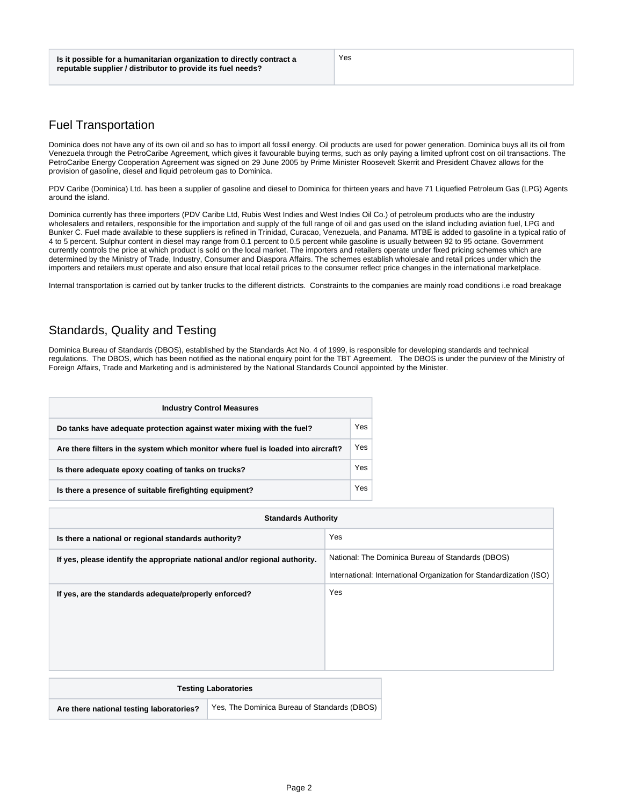Yes

# <span id="page-1-0"></span>Fuel Transportation

Dominica does not have any of its own oil and so has to import all fossil energy. Oil products are used for power generation. Dominica buys all its oil from Venezuela through the PetroCaribe Agreement, which gives it favourable buying terms, such as only paying a limited upfront cost on oil transactions. The PetroCaribe Energy Cooperation Agreement was signed on 29 June 2005 by Prime Minister Roosevelt Skerrit and President Chavez allows for the provision of gasoline, diesel and liquid petroleum gas to Dominica.

PDV Caribe (Dominica) Ltd. has been a supplier of gasoline and diesel to Dominica for thirteen years and have 71 Liquefied Petroleum Gas (LPG) Agents around the island.

Dominica currently has three importers (PDV Caribe Ltd, Rubis West Indies and West Indies Oil Co.) of petroleum products who are the industry wholesalers and retailers, responsible for the importation and supply of the full range of oil and gas used on the island including aviation fuel, LPG and Bunker C. Fuel made available to these suppliers is refined in Trinidad, Curacao, Venezuela, and Panama. MTBE is added to gasoline in a typical ratio of 4 to 5 percent. Sulphur content in diesel may range from 0.1 percent to 0.5 percent while gasoline is usually between 92 to 95 octane. Government currently controls the price at which product is sold on the local market. The importers and retailers operate under fixed pricing schemes which are determined by the Ministry of Trade, Industry, Consumer and Diaspora Affairs. The schemes establish wholesale and retail prices under which the importers and retailers must operate and also ensure that local retail prices to the consumer reflect price changes in the international marketplace.

Internal transportation is carried out by tanker trucks to the different districts. Constraints to the companies are mainly road conditions i.e road breakage

# <span id="page-1-1"></span>Standards, Quality and Testing

Dominica Bureau of Standards (DBOS), established by the Standards Act No. 4 of 1999, is responsible for developing standards and technical regulations. The DBOS, which has been notified as the national enquiry point for the TBT Agreement. The DBOS is under the purview of the Ministry of Foreign Affairs, Trade and Marketing and is administered by the National Standards Council appointed by the Minister.

| <b>Industry Control Measures</b>                                                  |     |  |
|-----------------------------------------------------------------------------------|-----|--|
| Do tanks have adequate protection against water mixing with the fuel?             | Yes |  |
| Are there filters in the system which monitor where fuel is loaded into aircraft? |     |  |
| Is there adequate epoxy coating of tanks on trucks?                               |     |  |
| Is there a presence of suitable firefighting equipment?                           | Yes |  |

| <b>Standards Authority</b>                                                  |                                                                                                                          |  |
|-----------------------------------------------------------------------------|--------------------------------------------------------------------------------------------------------------------------|--|
| Is there a national or regional standards authority?                        | Yes                                                                                                                      |  |
| If yes, please identify the appropriate national and/or regional authority. | National: The Dominica Bureau of Standards (DBOS)<br>International: International Organization for Standardization (ISO) |  |
| If yes, are the standards adequate/properly enforced?                       | Yes                                                                                                                      |  |
| <b>Testing Laboratories</b>                                                 |                                                                                                                          |  |

**Are there national testing laboratories?** Yes, The Dominica Bureau of Standards (DBOS)